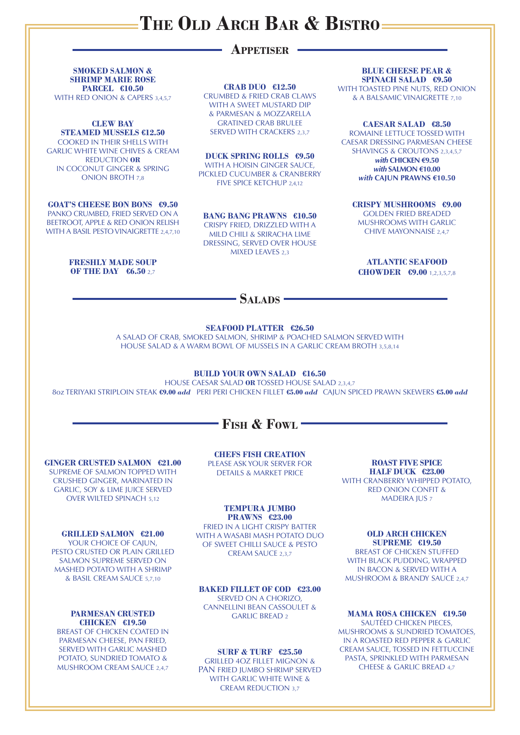#### **SEAFOOD PLATTER €26.50**

A SALAD OF CRAB, SMOKED SALMON, SHRIMP & POACHED SALMON SERVED WITH HOUSE SALAD & A WARM BOWL OF MUSSELS IN A GARLIC CREAM BROTH 3,5,8,14

**SMOKED SALMON & SHRIMP MARIE ROSE PARCEL €10.50** WITH RED ONION & CAPERS 3,4,5,7

#### **BUILD YOUR OWN SALAD €16.50**

HOUSE CAESAR SALAD **OR** TOSSED HOUSE SALAD 2,3,4,7 8oz TERIYAKI STRIPLOIN STEAK **€9.00** *add* PERI PERI CHICKEN FILLET **€5.00** *add* CAJUN SPICED PRAWN SKEWERS **€5.00** *add*

## **Fish & Fowl**

## **Appetiser**

**CRAB DUO €12.50**

CRUMBED & FRIED CRAB CLAWS WITH A SWEET MUSTARD DIP & PARMESAN & MOZZARELLA GRATINED CRAB BRULEE SERVED WITH CRACKERS 2,3,7

#### **CLEW BAY STEAMED MUSSELS €12.50**

COOKED IN THEIR SHELLS WITH GARLIC WHITE WINE CHIVES & CREAM REDUCTION **OR** IN COCONUT GINGER & SPRING ONION BROTH 7,8

### **GOAT'S CHEESE BON BONS €9.50**

PANKO CRUMBED, FRIED SERVED ON A BEETROOT, APPLE & RED ONION RELISH WITH A BASIL PESTO VINAIGRETTE 2,4,7,10

#### **CRISPY MUSHROOMS €9.00**

GOLDEN FRIED BREADED MUSHROOMS WITH GARLIC CHIVE MAYONNAISE 2,4,7

FRIED IN A LIGHT CRISPY BATTER WITH A WASABI MASH POTATO DUO OF SWEET CHILLI SAUCE & PESTO CREAM SAUCE 2,3,7

**BLUE CHEESE PEAR & SPINACH SALAD €9.50**

WITH TOASTED PINE NUTS, RED ONION & A BALSAMIC VINAIGRETTE 7,10

#### **DUCK SPRING ROLLS €9.50**

WITH A HOISIN GINGER SAUCE, PICKLED CUCUMBER & CRANBERRY FIVE SPICE KETCHUP 2,4,12

#### **BANG BANG PRAWNS €10.50**

CRISPY FRIED, DRIZZLED WITH A MILD CHILI & SRIRACHA LIME DRESSING, SERVED OVER HOUSE MIXED LEAVES 2,3

#### **FRESHLY MADE SOUP OF THE DAY €6.50** 2,7

**ATLANTIC SEAFOOD CHOWDER €9.00** 1,2,3,5,7,8

## SALADS<sup>-</sup>

#### **CAESAR SALAD €8.50**

ROMAINE LETTUCE TOSSED WITH CAESAR DRESSING PARMESAN CHEESE SHAVINGS & CROUTONS 2,3,4,5,7

> *with* **CHICKEN €9.50**  *with* **SALMON €10.00** *with* **CAJUN PRAWNS €10.50**

#### **GINGER CRUSTED SALMON €21.00**

SUPREME OF SALMON TOPPED WITH CRUSHED GINGER, MARINATED IN GARLIC, SOY & LIME JUICE SERVED OVER WILTED SPINACH 5,12

> **SURF & TURF €25.50** GRILLED 4OZ FILLET MIGNON & PAN FRIED JUMBO SHRIMP SERVED WITH GARLIC WHITE WINE & CREAM REDUCTION 3,7

**ROAST FIVE SPICE HALF DUCK €23.00** WITH CRANBERRY WHIPPED POTATO, RED ONION CONFIT & MADEIRA JUS 7

#### **TEMPURA JUMBO PRAWNS €23.00**

### **GRILLED SALMON €21.00**

YOUR CHOICE OF CAJUN, PESTO CRUSTED OR PLAIN GRILLED

SALMON SUPREME SERVED ON MASHED POTATO WITH A SHRIMP & BASIL CREAM SAUCE 5,7,10

> **MAMA ROSA CHICKEN €19.50** SAUTÉED CHICKEN PIECES, MUSHROOMS & SUNDRIED TOMATOES, IN A ROASTED RED PEPPER & GARLIC CREAM SAUCE, TOSSED IN FETTUCCINE PASTA, SPRINKLED WITH PARMESAN CHEESE & GARLIC BREAD 4,7

**OLD ARCH CHICKEN SUPREME €19.50** BREAST OF CHICKEN STUFFED

WITH BLACK PUDDING, WRAPPED IN BACON & SERVED WITH A MUSHROOM & BRANDY SAUCE 2,4,7

**BAKED FILLET OF COD €23.00** SERVED ON A CHORIZO, CANNELLINI BEAN CASSOULET & GARLIC BREAD 2

**CHEFS FISH CREATION** PLEASE ASK YOUR SERVER FOR DETAILS & MARKET PRICE

#### **PARMESAN CRUSTED CHICKEN €19.50** BREAST OF CHICKEN COATED IN PARMESAN CHEESE, PAN FRIED, SERVED WITH GARLIC MASHED POTATO, SUNDRIED TOMATO & MUSHROOM CREAM SAUCE 2,4,7

## **The Old Arch Bar & Bistro**